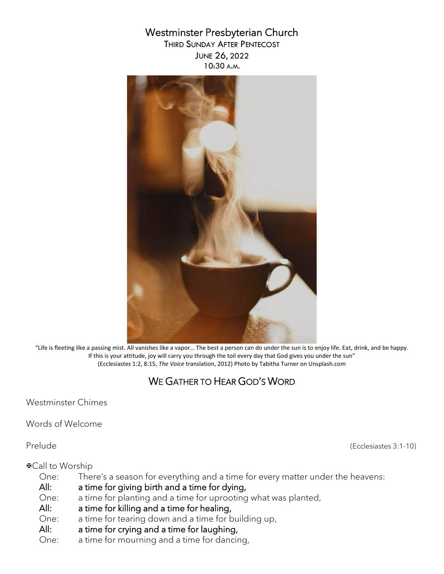# Westminster Presbyterian Church

THIRD SUNDAY AFTER PENTECOST JUNE 26, 2022 10:30 A.M.



"Life is fleeting like a passing mist. All vanishes like a vapor… The best a person can do under the sun is to enjoy life. Eat, drink, and be happy. If this is your attitude, joy will carry you through the toil every day that God gives you under the sun" (Ecclesiastes 1:2, 8:15, *The Voice* translation, 2012) Photo by Tabitha Turner on Unsplash.com

# WE GATHER TO HEAR GOD'S WORD

Westminster Chimes

Words of Welcome

Prelude (Ecclesiastes 3:1-10)

#### Call to Worship

One: There's a season for everything and a time for every matter under the heavens:

- All: a time for giving birth and a time for dying,
- One: a time for planting and a time for uprooting what was planted,
- All: a time for killing and a time for healing,
- One: a time for tearing down and a time for building up,
- All: a time for crying and a time for laughing,
- One: a time for mourning and a time for dancing,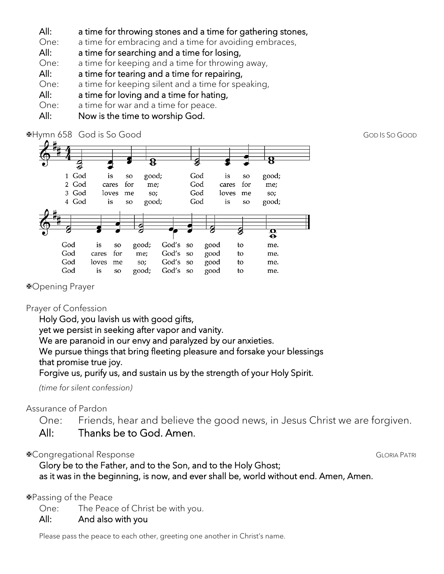All: a time for throwing stones and a time for gathering stones,

One: a time for embracing and a time for avoiding embraces,

- All: a time for searching and a time for losing,
- One: a time for keeping and a time for throwing away,
- All: a time for tearing and a time for repairing,
- One: a time for keeping silent and a time for speaking,
- All: a time for loving and a time for hating,
- One: a time for war and a time for peace.
- All: Now is the time to worship God.



Opening Prayer

## Prayer of Confession

Holy God, you lavish us with good gifts, yet we persist in seeking after vapor and vanity. We are paranoid in our envy and paralyzed by our anxieties. We pursue things that bring fleeting pleasure and forsake your blessings that promise true joy.

Forgive us, purify us, and sustain us by the strength of your Holy Spirit.

*(time for silent confession)*

## Assurance of Pardon

One: Friends, hear and believe the good news, in Jesus Christ we are forgiven. All: Thanks be to God. Amen.

## **Example of the Congregational Response GLORIA PATRI** CLORIA PATRI

 Glory be to the Father, and to the Son, and to the Holy Ghost; as it was in the beginning, is now, and ever shall be, world without end. Amen, Amen.

### Passing of the Peace

One: The Peace of Christ be with you.

### All: And also with you

Please pass the peace to each other, greeting one another in Christ's name.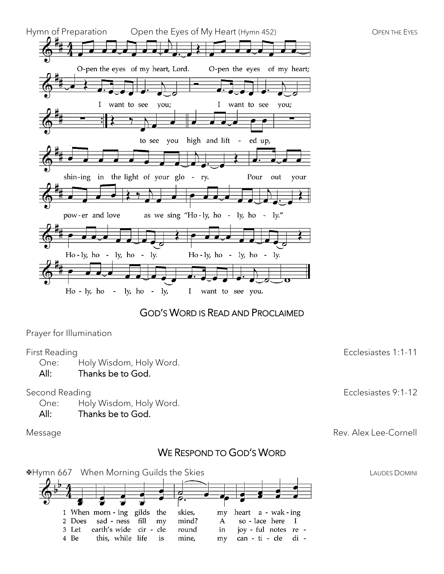

## GOD'S WORD IS READ AND PROCLAIMED

Prayer for Illumination

One: Holy Wisdom, Holy Word.

All: Thanks be to God.

One: Holy Wisdom, Holy Word.

#### All: Thanks be to God.

## WE RESPOND TO GOD'S WORD



First Reading Ecclesiastes 1:1-11

Second Reading **Ecclesiastes 9:1-12** 

Message Rev. Alex Lee-Cornell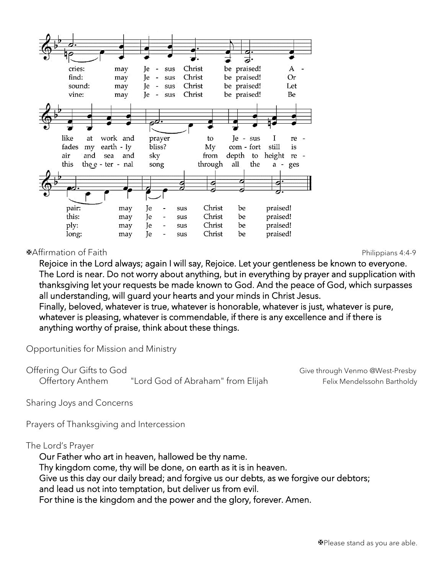

Affirmation of Faith Philippians 4:4-9

Rejoice in the Lord always; again I will say, Rejoice. Let your gentleness be known to everyone. The Lord is near. Do not worry about anything, but in everything by prayer and supplication with thanksgiving let your requests be made known to God. And the peace of God, which surpasses all understanding, will guard your hearts and your minds in Christ Jesus. Finally, beloved, whatever is true, whatever is honorable, whatever is just, whatever is pure, whatever is pleasing, whatever is commendable, if there is any excellence and if there is

anything worthy of praise, think about these things.

Opportunities for Mission and Ministry

Offering Our Gifts to God Give through Venmo @West-Presby Offertory Anthem "Lord God of Abraham" from Elijah Felix Mendelssohn Bartholdy

Sharing Joys and Concerns

Prayers of Thanksgiving and Intercession

The Lord's Prayer

Our Father who art in heaven, hallowed be thy name. Thy kingdom come, thy will be done, on earth as it is in heaven. Give us this day our daily bread; and forgive us our debts, as we forgive our debtors; and lead us not into temptation, but deliver us from evil. For thine is the kingdom and the power and the glory, forever. Amen.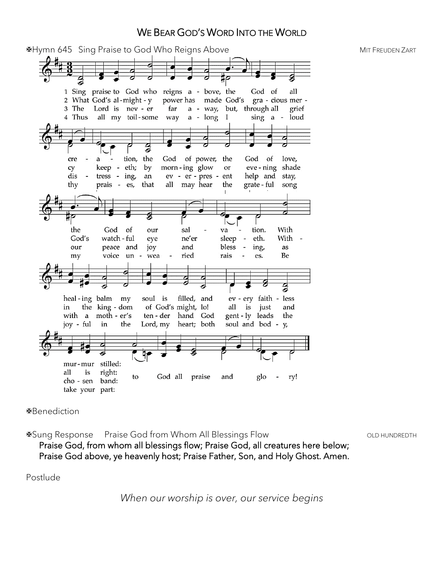## WE BEAR GOD'S WORD INTO THE WORLD

**EXAMPLE 19 ASSESS** Sing Praise to God Who Reigns Above **MIT FREUDEN AND A SET A RELACT AND MIT FREUDEN** ZART 1 Sing praise to God who reigns a - bove, the God of all power has made God's 2 What God's al-might - y gra - cious mer -3 The Lord is nev - er far a - way, but, through all grief 4 Thus all my toil-some way  $a - long I$  $sing$  a loud g tion, the God of power, the God of love, cre a. keep - eth; cy by morn-ing glow  $\quad$  or eve-ning shade ev - er - pres dis tress - ing, ent help and stay, an thy prais - es, that all may hear the grate - ful song e the God of our sal va tion. With God's watch - ful ne'er eth. With eye sleep ing, our peace and joy and bless as voice un ried rais Be my wea es. g heal-ing balm my soul is filled, and ev - ery faith - less the king - dom of God's might, lo! all is just and in with a moth - er's ten - der hand God gent-ly leads the joy - ful the Lord, my heart; both soul and bod - y in stilled: mur-mur right: all is to God all praise and glo ry! band: cho - sen take your part:

Benediction

⊕Sung Response Praise God from Whom All Blessings Flow The Communiversity CLD HUNDREDTH

Praise God, from whom all blessings flow; Praise God, all creatures here below; Praise God above, ye heavenly host; Praise Father, Son, and Holy Ghost. Amen.

Postlude

*When our worship is over, our service begins*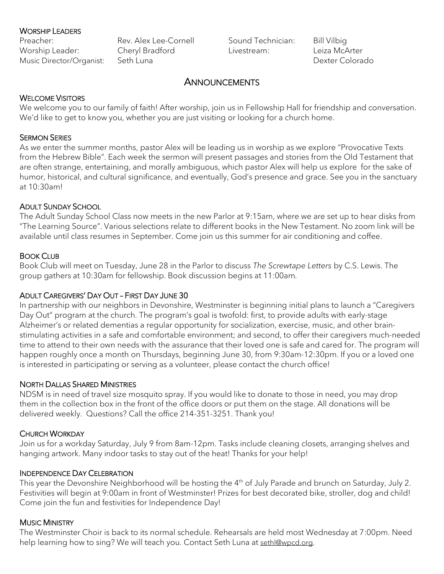#### WORSHIP LEADERS

Worship Leader: Cheryl Bradford Music Director/Organist: Seth Luna

Preacher: Rev. Alex Lee-Cornell

Sound Technician: Bill Vilbig Livestream: Leiza McArter

Dexter Colorado

## **ANNOUNCEMENTS**

#### WELCOME VISITORS

We welcome you to our family of faith! After worship, join us in Fellowship Hall for friendship and conversation. We'd like to get to know you, whether you are just visiting or looking for a church home.

#### SERMON SERIES

As we enter the summer months, pastor Alex will be leading us in worship as we explore "Provocative Texts from the Hebrew Bible". Each week the sermon will present passages and stories from the Old Testament that are often strange, entertaining, and morally ambiguous, which pastor Alex will help us explore for the sake of humor, historical, and cultural significance, and eventually, God's presence and grace. See you in the sanctuary at 10:30am!

#### ADULT SUNDAY SCHOOL

The Adult Sunday School Class now meets in the new Parlor at 9:15am, where we are set up to hear disks from "The Learning Source". Various selections relate to different books in the New Testament. No zoom link will be available until class resumes in September. Come join us this summer for air conditioning and coffee.

#### BOOK CLUB

Book Club will meet on Tuesday, June 28 in the Parlor to discuss *The Screwtape Letters* by C.S. Lewis. The group gathers at 10:30am for fellowship. Book discussion begins at 11:00am*.*

### ADULT CAREGIVERS' DAY OUT – FIRST DAY JUNE 30

In partnership with our neighbors in Devonshire, Westminster is beginning initial plans to launch a "Caregivers Day Out" program at the church. The program's goal is twofold: first, to provide adults with early-stage Alzheimer's or related dementias a regular opportunity for socialization, exercise, music, and other brainstimulating activities in a safe and comfortable environment; and second, to offer their caregivers much-needed time to attend to their own needs with the assurance that their loved one is safe and cared for. The program will happen roughly once a month on Thursdays, beginning June 30, from 9:30am-12:30pm. If you or a loved one is interested in participating or serving as a volunteer, please contact the church office!

#### NORTH DALLAS SHARED MINISTRIES

NDSM is in need of travel size mosquito spray. If you would like to donate to those in need, you may drop them in the collection box in the front of the office doors or put them on the stage. All donations will be delivered weekly. Questions? Call the office 214-351-3251. Thank you!

#### CHURCH WORKDAY

Join us for a workday Saturday, July 9 from 8am-12pm. Tasks include cleaning closets, arranging shelves and hanging artwork. Many indoor tasks to stay out of the heat! Thanks for your help!

#### INDEPENDENCE DAY CELEBRATION

This year the Devonshire Neighborhood will be hosting the 4<sup>th</sup> of July Parade and brunch on Saturday, July 2. Festivities will begin at 9:00am in front of Westminster! Prizes for best decorated bike, stroller, dog and child! Come join the fun and festivities for Independence Day!

#### MUSIC MINISTRY

The Westminster Choir is back to its normal schedule. Rehearsals are held most Wednesday at 7:00pm. Need help learning how to sing? We will teach you. Contact Seth Luna at [sethl@wpcd.org.](mailto:sethl@wpcd.org)